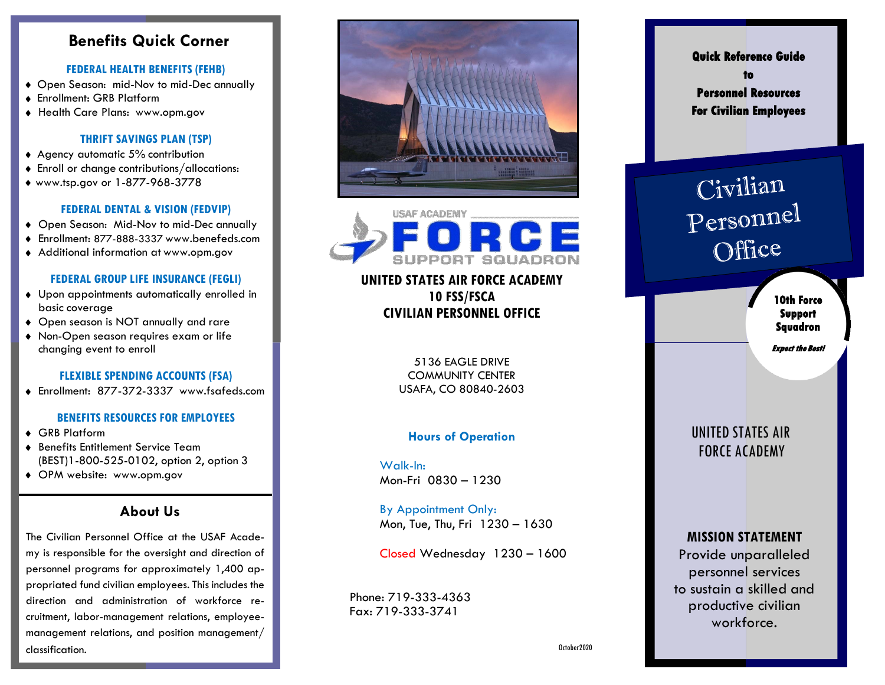# **Benefits Quick Corner**

V

#### **FEDERAL HEALTH BENEFITS (FEHB)**

- Open Season: mid-Nov to mid-Dec annually
- Enrollment: GRB Platform
- Health Care Plans: [www.opm.gov](http://www.opm.gov/)

#### **THRIFT SAVINGS PLAN (TSP)**

- ◆ Agency automatic 5% contribution
- Enroll or change contributions/allocations:
- ♦ [www.tsp.gov](http://www.tsp.gov/) or 1-877-968-3778

#### **FEDERAL DENTAL & VISION (FEDVIP)**

- Open Season: Mid-Nov to mid-Dec annually
- Enrollment: 877-888-3337 [www.benefeds.com](http://www.benefeds.com/)
- Additional information at [www.opm.gov](http://www.opm.gov/)

#### **FEDERAL GROUP LIFE INSURANCE (FEGLI)**

- Upon appointments automatically enrolled in basic coverage
- Open season is NOT annually and rare
- Non-Open season requires exam or life changing event to enroll

#### **FLEXIBLE SPENDING ACCOUNTS (FSA)**

Enrollment: 877-372-3337 [www.fsafeds.com](http://www.fsafeds.com/)

#### **BENEFITS RESOURCES FOR EMPLOYEES**

- GRB Platform
- Benefits Entitlement Service Team (BEST)1-800-525-0102, option 2, option 3
- OPM website: [www.opm.gov](http://www.opm.gov/)

# **About Us**

The Civilian Personnel Office at the USAF Academy is responsible for the oversight and direction of personnel programs for approximately 1,400 appropriated fund civilian employees. This includes the direction and administration of workforce recruitment, labor-management relations, employeemanagement relations, and position management/ classification.





# **UNITED STATES AIR FORCE ACADEMY 10 FSS/FSCA CIVILIAN PERSONNEL OFFICE**

5136 EAGLE DRIVE COMMUNITY CENTER USAFA, CO 80840-2603

### **Hours of Operation**

Walk-In: Mon-Fri 0830 – 1230

By Appointment Only: Mon, Tue, Thu, Fri 1230 – 1630

Closed Wednesday 1230 – 1600

Phone: 719-333-4363 Fax: 719-333-3741

**Quick Reference Guide to Personnel Resources For Civilian Employees** 

# Civilian Personnel Office

**10th Force Support Squadron** 

**Expect the Best!** 

# UNITED STATES AIR FORCE ACADEMY

# **MISSION STATEMENT** Provide unparalleled personnel services to sustain a skilled and productive civilian workforce.